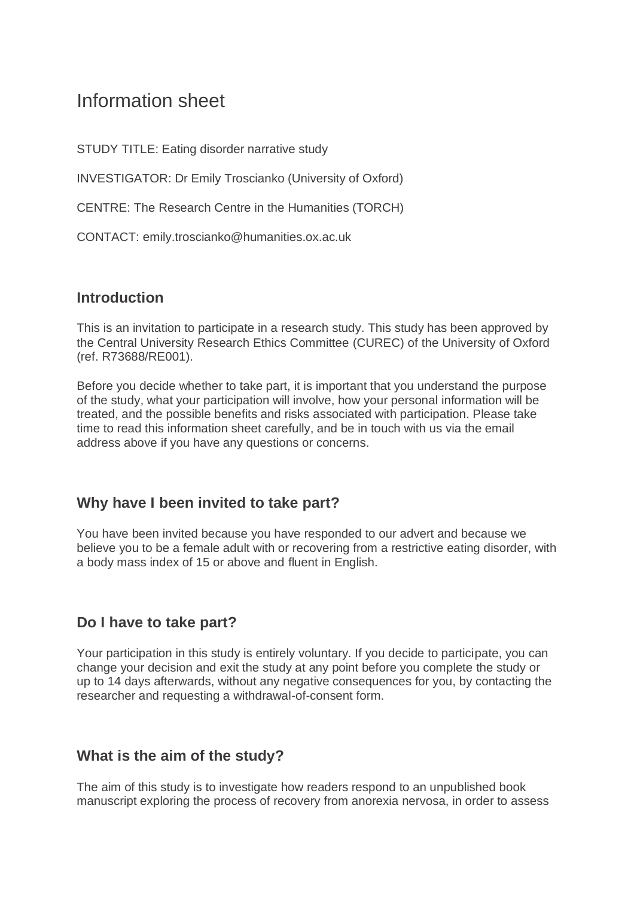# Information sheet

STUDY TITLE: Eating disorder narrative study

INVESTIGATOR: Dr Emily Troscianko (University of Oxford)

CENTRE: The Research Centre in the Humanities (TORCH)

CONTACT: emily.troscianko@humanities.ox.ac.uk

#### **Introduction**

This is an invitation to participate in a research study. This study has been approved by the Central University Research Ethics Committee (CUREC) of the University of Oxford (ref. R73688/RE001).

Before you decide whether to take part, it is important that you understand the purpose of the study, what your participation will involve, how your personal information will be treated, and the possible benefits and risks associated with participation. Please take time to read this information sheet carefully, and be in touch with us via the email address above if you have any questions or concerns.

#### **Why have I been invited to take part?**

You have been invited because you have responded to our advert and because we believe you to be a female adult with or recovering from a restrictive eating disorder, with a body mass index of 15 or above and fluent in English.

# **Do I have to take part?**

Your participation in this study is entirely voluntary. If you decide to participate, you can change your decision and exit the study at any point before you complete the study or up to 14 days afterwards, without any negative consequences for you, by contacting the researcher and requesting a withdrawal-of-consent form.

#### **What is the aim of the study?**

The aim of this study is to investigate how readers respond to an unpublished book manuscript exploring the process of recovery from anorexia nervosa, in order to assess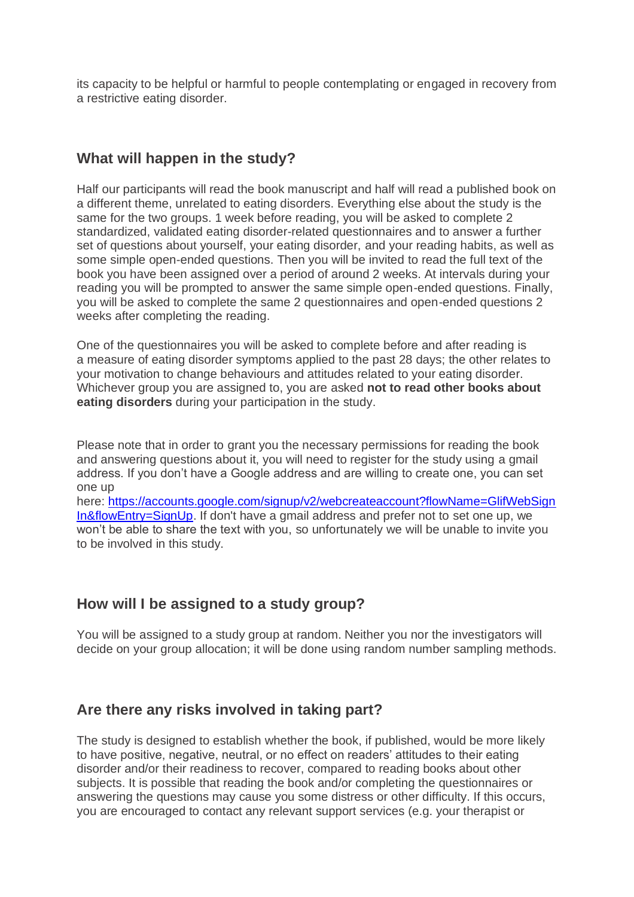its capacity to be helpful or harmful to people contemplating or engaged in recovery from a restrictive eating disorder.

### **What will happen in the study?**

Half our participants will read the book manuscript and half will read a published book on a different theme, unrelated to eating disorders. Everything else about the study is the same for the two groups. 1 week before reading, you will be asked to complete 2 standardized, validated eating disorder-related questionnaires and to answer a further set of questions about yourself, your eating disorder, and your reading habits, as well as some simple open-ended questions. Then you will be invited to read the full text of the book you have been assigned over a period of around 2 weeks. At intervals during your reading you will be prompted to answer the same simple open-ended questions. Finally, you will be asked to complete the same 2 questionnaires and open-ended questions 2 weeks after completing the reading.

One of the questionnaires you will be asked to complete before and after reading is a measure of eating disorder symptoms applied to the past 28 days; the other relates to your motivation to change behaviours and attitudes related to your eating disorder. Whichever group you are assigned to, you are asked **not to read other books about eating disorders** during your participation in the study.

Please note that in order to grant you the necessary permissions for reading the book and answering questions about it, you will need to register for the study using a gmail address. If you don't have a Google address and are willing to create one, you can set one up

here: [https://accounts.google.com/signup/v2/webcreateaccount?flowName=GlifWebSign](https://accounts.google.com/signup/v2/webcreateaccount?flowName=GlifWebSignIn&flowEntry=SignUp) [In&flowEntry=SignUp.](https://accounts.google.com/signup/v2/webcreateaccount?flowName=GlifWebSignIn&flowEntry=SignUp) If don't have a gmail address and prefer not to set one up, we won't be able to share the text with you, so unfortunately we will be unable to invite you to be involved in this study.

# **How will I be assigned to a study group?**

You will be assigned to a study group at random. Neither you nor the investigators will decide on your group allocation; it will be done using random number sampling methods.

# **Are there any risks involved in taking part?**

The study is designed to establish whether the book, if published, would be more likely to have positive, negative, neutral, or no effect on readers' attitudes to their eating disorder and/or their readiness to recover, compared to reading books about other subjects. It is possible that reading the book and/or completing the questionnaires or answering the questions may cause you some distress or other difficulty. If this occurs, you are encouraged to contact any relevant support services (e.g. your therapist or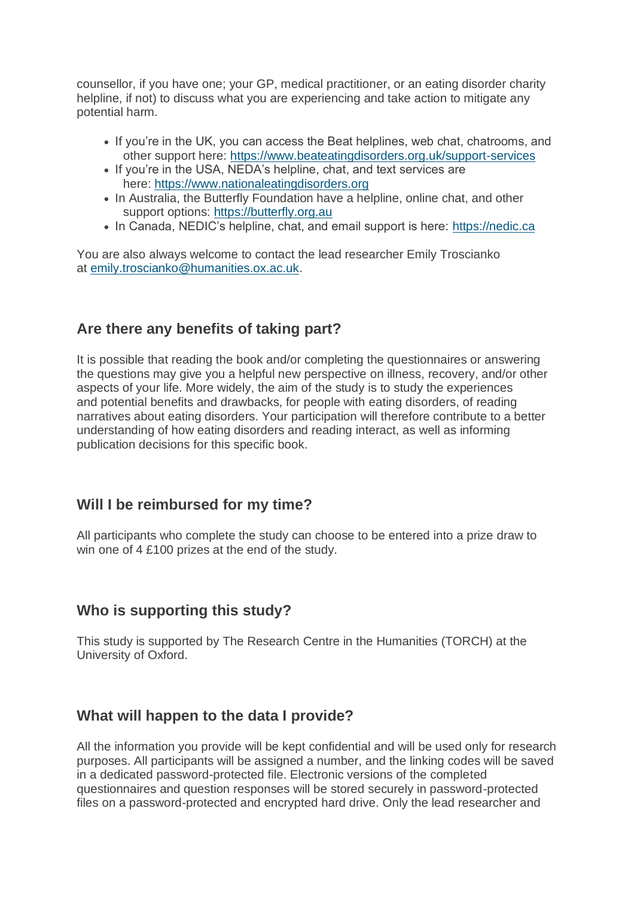counsellor, if you have one; your GP, medical practitioner, or an eating disorder charity helpline, if not) to discuss what you are experiencing and take action to mitigate any potential harm.

- If you're in the UK, you can access the Beat helplines, web chat, chatrooms, and other support here: <https://www.beateatingdisorders.org.uk/support-services>
- If you're in the USA, NEDA's helpline, chat, and text services are here: [https://www.nationaleatingdisorders.org](https://www.nationaleatingdisorders.org/)
- In Australia, the Butterfly Foundation have a helpline, online chat, and other support options: [https://butterfly.org.au](https://butterfly.org.au/)
- In Canada, NEDIC's helpline, chat, and email support is here: [https://nedic.ca](https://nedic.ca/)

You are also always welcome to contact the lead researcher Emily Troscianko at [emily.troscianko@humanities.ox.ac.uk.](mailto:emily.troscianko@humanities.ox.ac.uk)

# **Are there any benefits of taking part?**

It is possible that reading the book and/or completing the questionnaires or answering the questions may give you a helpful new perspective on illness, recovery, and/or other aspects of your life. More widely, the aim of the study is to study the experiences and potential benefits and drawbacks, for people with eating disorders, of reading narratives about eating disorders. Your participation will therefore contribute to a better understanding of how eating disorders and reading interact, as well as informing publication decisions for this specific book.

#### **Will I be reimbursed for my time?**

All participants who complete the study can choose to be entered into a prize draw to win one of 4 £100 prizes at the end of the study.

#### **Who is supporting this study?**

This study is supported by The Research Centre in the Humanities (TORCH) at the University of Oxford.

# **What will happen to the data I provide?**

All the information you provide will be kept confidential and will be used only for research purposes. All participants will be assigned a number, and the linking codes will be saved in a dedicated password-protected file. Electronic versions of the completed questionnaires and question responses will be stored securely in password-protected files on a password-protected and encrypted hard drive. Only the lead researcher and